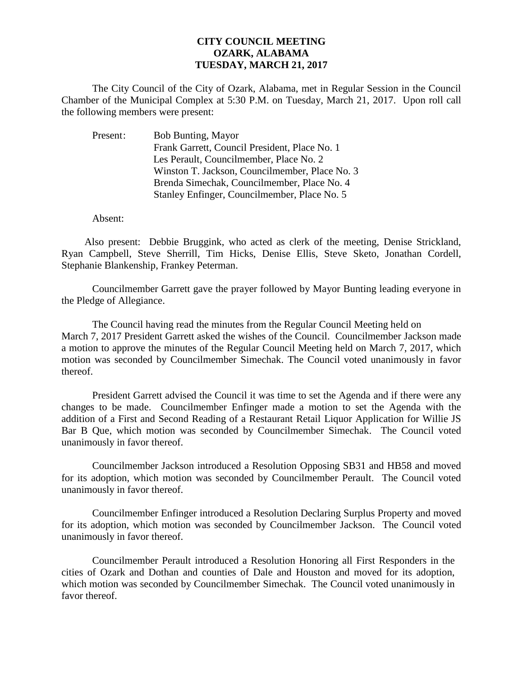## **CITY COUNCIL MEETING OZARK, ALABAMA TUESDAY, MARCH 21, 2017**

The City Council of the City of Ozark, Alabama, met in Regular Session in the Council Chamber of the Municipal Complex at 5:30 P.M. on Tuesday, March 21, 2017. Upon roll call the following members were present:

Present: Bob Bunting, Mayor Frank Garrett, Council President, Place No. 1 Les Perault, Councilmember, Place No. 2 Winston T. Jackson, Councilmember, Place No. 3 Brenda Simechak, Councilmember, Place No. 4 Stanley Enfinger, Councilmember, Place No. 5

Absent:

Also present: Debbie Bruggink, who acted as clerk of the meeting, Denise Strickland, Ryan Campbell, Steve Sherrill, Tim Hicks, Denise Ellis, Steve Sketo, Jonathan Cordell, Stephanie Blankenship, Frankey Peterman.

Councilmember Garrett gave the prayer followed by Mayor Bunting leading everyone in the Pledge of Allegiance.

The Council having read the minutes from the Regular Council Meeting held on March 7, 2017 President Garrett asked the wishes of the Council. Councilmember Jackson made a motion to approve the minutes of the Regular Council Meeting held on March 7, 2017, which motion was seconded by Councilmember Simechak. The Council voted unanimously in favor thereof.

President Garrett advised the Council it was time to set the Agenda and if there were any changes to be made. Councilmember Enfinger made a motion to set the Agenda with the addition of a First and Second Reading of a Restaurant Retail Liquor Application for Willie JS Bar B Que, which motion was seconded by Councilmember Simechak. The Council voted unanimously in favor thereof.

Councilmember Jackson introduced a Resolution Opposing SB31 and HB58 and moved for its adoption, which motion was seconded by Councilmember Perault. The Council voted unanimously in favor thereof.

 Councilmember Enfinger introduced a Resolution Declaring Surplus Property and moved for its adoption, which motion was seconded by Councilmember Jackson. The Council voted unanimously in favor thereof.

Councilmember Perault introduced a Resolution Honoring all First Responders in the cities of Ozark and Dothan and counties of Dale and Houston and moved for its adoption, which motion was seconded by Councilmember Simechak. The Council voted unanimously in favor thereof.